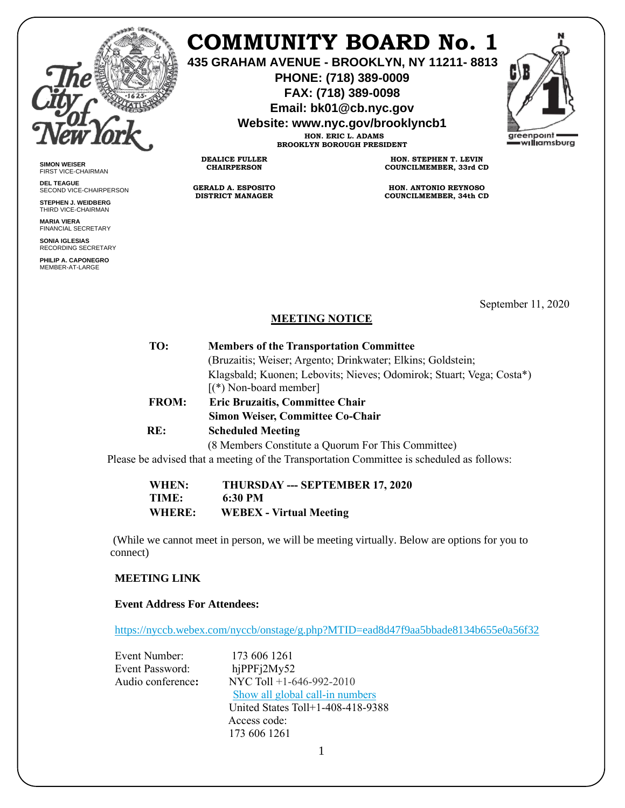

**SIMON WEISER** FIRST VICE-CHAIRMAN **DEL TEAGUE**

SECOND VICE-CHAIRPERSON **STEPHEN J. WEIDBERG** THIRD VICE-CHAIRMAN **MARIA VIERA** FINANCIAL SECRETARY **SONIA IGLESIAS** RECORDING SECRETARY **PHILIP A. CAPONEGRO** MEMBER-AT-LARGE

# **COMMUNITY BOARD No. 1**

**435 GRAHAM AVENUE - BROOKLYN, NY 11211- 8813**

**PHONE: (718) 389-0009 FAX: (718) 389-0098**

**Email: bk01@cb.nyc.gov**

**Website: www.nyc.gov/brooklyncb1**

**HON. ERIC L. ADAMS BROOKLYN BOROUGH PRESIDENT**

**DEALICE FULLER CHAIRPERSON**

**GERALD A. ESPOSITO DISTRICT MANAGER**

**HON. STEPHEN T. LEVIN COUNCILMEMBER, 33rd CD**

**HON. ANTONIO REYNOSO COUNCILMEMBER, 34th CD**

September 11, 2020

# **MEETING NOTICE**

| TO:          | <b>Members of the Transportation Committee</b>                       |
|--------------|----------------------------------------------------------------------|
|              | (Bruzaitis; Weiser; Argento; Drinkwater; Elkins; Goldstein;          |
|              | Klagsbald; Kuonen; Lebovits; Nieves; Odomirok; Stuart; Vega; Costa*) |
|              | $\lceil$ (*) Non-board member                                        |
| <b>FROM:</b> | <b>Eric Bruzaitis, Committee Chair</b>                               |
|              | <b>Simon Weiser, Committee Co-Chair</b>                              |
| RE:          | <b>Scheduled Meeting</b>                                             |
|              | (8 Members Constitute a Quorum For This Committee)                   |
|              |                                                                      |

Please be advised that a meeting of the Transportation Committee is scheduled as follows:

**WHEN: THURSDAY --- SEPTEMBER 17, 2020 TIME: 6:30 PM WHERE: WEBEX - Virtual Meeting** 

(While we cannot meet in person, we will be meeting virtually. Below are options for you to connect)

# **MEETING LINK**

#### **Event Address For Attendees:**

<https://nyccb.webex.com/nyccb/onstage/g.php?MTID=ead8d47f9aa5bbade8134b655e0a56f32>

| Event Number:          | 173 606 1261                      |
|------------------------|-----------------------------------|
| <b>Event Password:</b> | hjPPFj2My52                       |
| Audio conference:      | NYC Toll $+1-646-992-2010$        |
|                        | Show all global call-in numbers   |
|                        | United States Toll+1-408-418-9388 |
|                        | Access code:                      |
|                        | 173 606 1261                      |